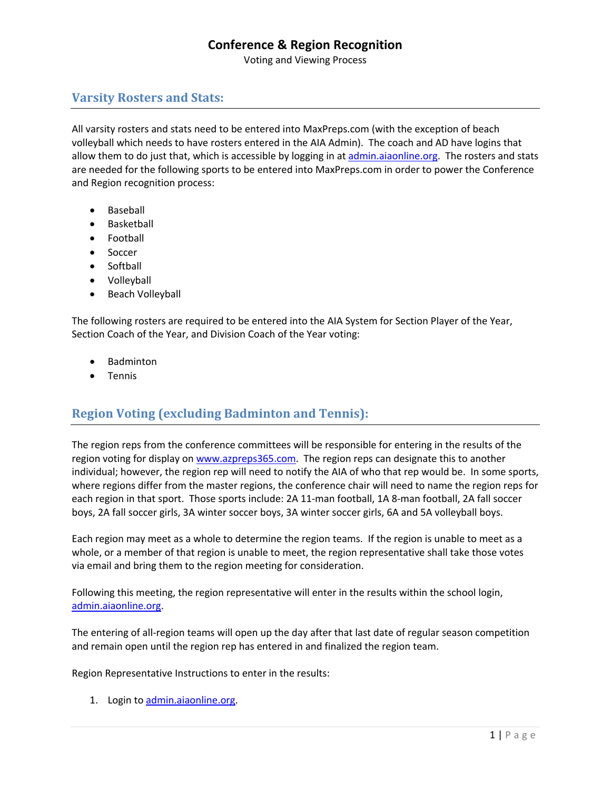Voting and Viewing Process

## **Varsity Rosters and Stats:**

All varsity rosters and stats need to be entered into MaxPreps.com (with the exception of beach volleyball which needs to have rosters entered in the AIA Admin). The coach and AD have logins that allow them to do just that, which is accessible by logging in at admin.aiaonline.org. The rosters and stats are needed for the following sports to be entered into MaxPreps.com in order to power the Conference and Region recognition process:

- Baseball
- **Basketball**
- Football
- Soccer
- Softball
- Volleyball
- Beach Volleyball

The following rosters are required to be entered into the AIA System for Section Player of the Year, Section Coach of the Year, and Division Coach of the Year voting:

- Badminton
- Tennis

## **Region Voting (excluding Badminton and Tennis):**

The region reps from the conference committees will be responsible for entering in the results of the region voting for display on www.azpreps365.com. The region reps can designate this to another individual; however, the region rep will need to notify the AIA of who that rep would be. In some sports, where regions differ from the master regions, the conference chair will need to name the region reps for each region in that sport. Those sports include: 2A 11-man football, 1A 8-man football, 2A fall soccer boys, 2A fall soccer girls, 3A winter soccer boys, 3A winter soccer girls, 6A and 5A volleyball boys.

Each region may meet as a whole to determine the region teams. If the region is unable to meet as a whole, or a member of that region is unable to meet, the region representative shall take those votes via email and bring them to the region meeting for consideration.

Following this meeting, the region representative will enter in the results within the school login, admin.aiaonline.org.

The entering of all-region teams will open up the day after that last date of regular season competition and remain open until the region rep has entered in and finalized the region team.

Region Representative Instructions to enter in the results:

1. Login to admin.aiaonline.org.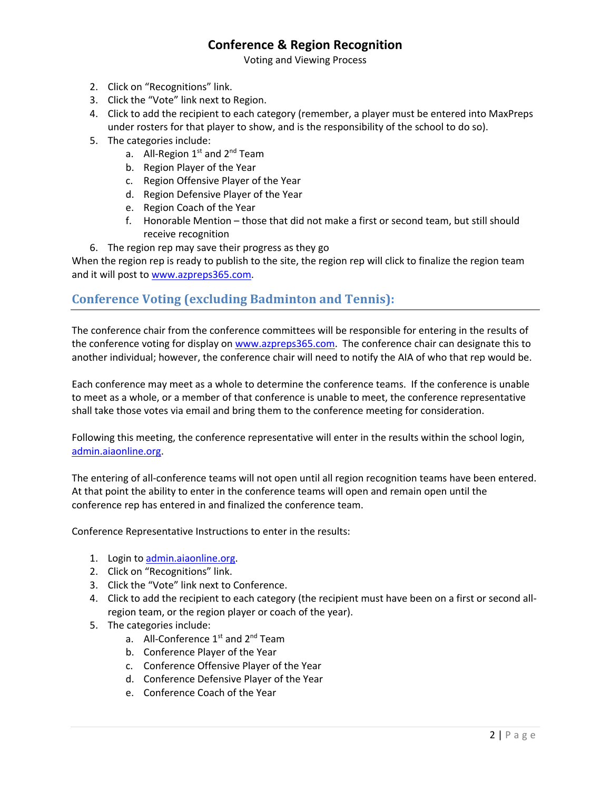Voting and Viewing Process

- 2. Click on "Recognitions" link.
- 3. Click the "Vote" link next to Region.
- 4. Click to add the recipient to each category (remember, a player must be entered into MaxPreps under rosters for that player to show, and is the responsibility of the school to do so).
- 5. The categories include:
	- a. All-Region  $1<sup>st</sup>$  and  $2<sup>nd</sup>$  Team
	- b. Region Player of the Year
	- c. Region Offensive Player of the Year
	- d. Region Defensive Player of the Year
	- e. Region Coach of the Year
	- f. Honorable Mention those that did not make a first or second team, but still should receive recognition
- 6. The region rep may save their progress as they go

When the region rep is ready to publish to the site, the region rep will click to finalize the region team and it will post to www.azpreps365.com.

## **Conference Voting (excluding Badminton and Tennis):**

The conference chair from the conference committees will be responsible for entering in the results of the conference voting for display on www.azpreps365.com. The conference chair can designate this to another individual; however, the conference chair will need to notify the AIA of who that rep would be.

Each conference may meet as a whole to determine the conference teams. If the conference is unable to meet as a whole, or a member of that conference is unable to meet, the conference representative shall take those votes via email and bring them to the conference meeting for consideration.

Following this meeting, the conference representative will enter in the results within the school login, admin.aiaonline.org.

The entering of all-conference teams will not open until all region recognition teams have been entered. At that point the ability to enter in the conference teams will open and remain open until the conference rep has entered in and finalized the conference team.

Conference Representative Instructions to enter in the results:

- 1. Login to admin.aiaonline.org.
- 2. Click on "Recognitions" link.
- 3. Click the "Vote" link next to Conference.
- 4. Click to add the recipient to each category (the recipient must have been on a first or second allregion team, or the region player or coach of the year).
- 5. The categories include:
	- a. All-Conference 1<sup>st</sup> and 2<sup>nd</sup> Team
	- b. Conference Player of the Year
	- c. Conference Offensive Player of the Year
	- d. Conference Defensive Player of the Year
	- e. Conference Coach of the Year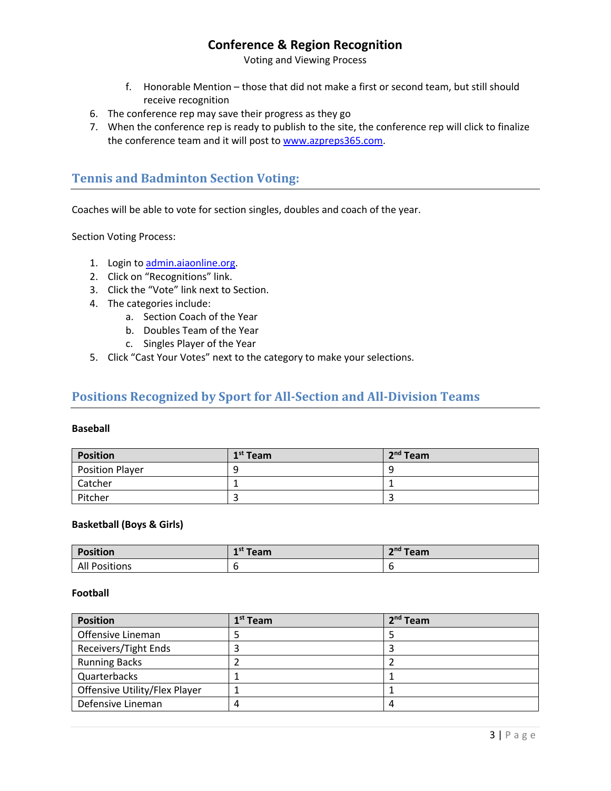Voting and Viewing Process

- f. Honorable Mention those that did not make a first or second team, but still should receive recognition
- 6. The conference rep may save their progress as they go
- 7. When the conference rep is ready to publish to the site, the conference rep will click to finalize the conference team and it will post to www.azpreps365.com.

## **Tennis and Badminton Section Voting:**

Coaches will be able to vote for section singles, doubles and coach of the year.

Section Voting Process:

- 1. Login to admin.aiaonline.org.
- 2. Click on "Recognitions" link.
- 3. Click the "Vote" link next to Section.
- 4. The categories include:
	- a. Section Coach of the Year
	- b. Doubles Team of the Year
	- c. Singles Player of the Year
- 5. Click "Cast Your Votes" next to the category to make your selections.

### Positions Recognized by Sport for All-Section and All-Division Teams

#### **Baseball**

| <b>Position</b>        | $1st$ Team | $2nd$ Team |
|------------------------|------------|------------|
| <b>Position Player</b> | q          |            |
| Catcher                |            |            |
| Pitcher                | ے          |            |

#### **Basketball (Boys & Girls)**

| <b>Position</b>      | ⊸rist ∹<br><b>Team</b> | 2 <sup>nd</sup> Team |
|----------------------|------------------------|----------------------|
| <b>All Positions</b> |                        |                      |

#### **Football**

| <b>Position</b>               | 1 <sup>st</sup> Team | $2nd$ Team |
|-------------------------------|----------------------|------------|
| Offensive Lineman             |                      |            |
| Receivers/Tight Ends          |                      |            |
| <b>Running Backs</b>          |                      |            |
| Quarterbacks                  |                      |            |
| Offensive Utility/Flex Player |                      |            |
| Defensive Lineman             | 4                    |            |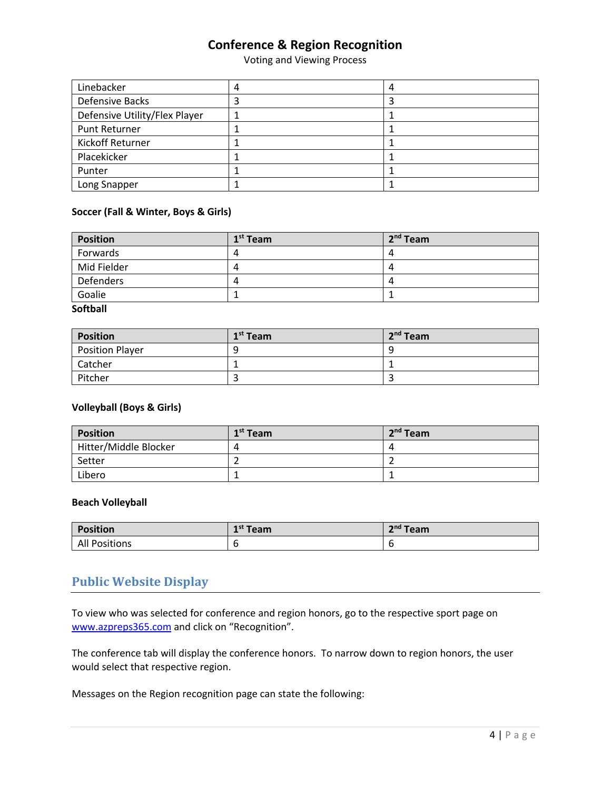Voting and Viewing Process

| Linebacker                    | 4 |  |
|-------------------------------|---|--|
| <b>Defensive Backs</b>        |   |  |
| Defensive Utility/Flex Player |   |  |
| Punt Returner                 |   |  |
| Kickoff Returner              |   |  |
| Placekicker                   |   |  |
| Punter                        |   |  |
| Long Snapper                  |   |  |

### **Soccer (Fall & Winter, Boys & Girls)**

| <b>Position</b> | 1 <sup>st</sup> Team | $2nd$ Team     |
|-----------------|----------------------|----------------|
| Forwards        | 4                    | $\overline{ }$ |
| Mid Fielder     |                      |                |
| Defenders       | $\sqrt{ }$           |                |
| Goalie          |                      |                |

#### **Softball**

| <b>Position</b>        | 1 <sup>st</sup> Team | 2 <sup>nd</sup> Team |
|------------------------|----------------------|----------------------|
| <b>Position Player</b> | Q                    |                      |
| Catcher                |                      |                      |
| Pitcher                |                      |                      |

### **Volleyball (Boys & Girls)**

| <b>Position</b>       | $1st$ Team | $2nd$ Team |
|-----------------------|------------|------------|
| Hitter/Middle Blocker |            |            |
| Setter                |            |            |
| Libero                |            |            |

### **Beach Volleyball**

| <b>Position</b>      | $1st$ Team | $\mathbf{P}^{\text{nd}}$ Team |
|----------------------|------------|-------------------------------|
| <b>All Positions</b> |            |                               |

### **Public Website Display**

To view who was selected for conference and region honors, go to the respective sport page on www.azpreps365.com and click on "Recognition".

The conference tab will display the conference honors. To narrow down to region honors, the user would select that respective region.

Messages on the Region recognition page can state the following: